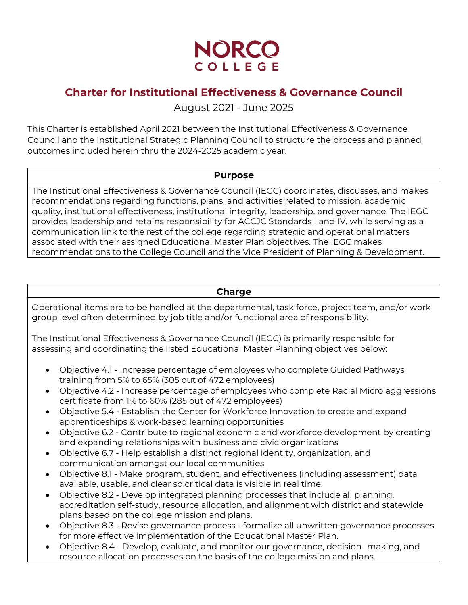

# **Charter for Institutional Effectiveness & Governance Council**

August 2021 - June 2025

This Charter is established April 2021 between the Institutional Effectiveness & Governance Council and the Institutional Strategic Planning Council to structure the process and planned outcomes included herein thru the 2024-2025 academic year.

#### **Purpose**

The Institutional Effectiveness & Governance Council (IEGC) coordinates, discusses, and makes recommendations regarding functions, plans, and activities related to mission, academic quality, institutional effectiveness, institutional integrity, leadership, and governance. The IEGC provides leadership and retains responsibility for ACCJC Standards I and IV, while serving as a communication link to the rest of the college regarding strategic and operational matters associated with their assigned Educational Master Plan objectives. The IEGC makes recommendations to the College Council and the Vice President of Planning & Development.

#### **Charge**

Operational items are to be handled at the departmental, task force, project team, and/or work group level often determined by job title and/or functional area of responsibility.

The Institutional Effectiveness & Governance Council (IEGC) is primarily responsible for assessing and coordinating the listed Educational Master Planning objectives below:

- Objective 4.1 Increase percentage of employees who complete Guided Pathways training from 5% to 65% (305 out of 472 employees)
- Objective 4.2 Increase percentage of employees who complete Racial Micro aggressions certificate from 1% to 60% (285 out of 472 employees)
- Objective 5.4 Establish the Center for Workforce Innovation to create and expand apprenticeships & work-based learning opportunities
- Objective 6.2 Contribute to regional economic and workforce development by creating and expanding relationships with business and civic organizations
- Objective 6.7 Help establish a distinct regional identity, organization, and communication amongst our local communities
- Objective 8.1 Make program, student, and effectiveness (including assessment) data available, usable, and clear so critical data is visible in real time.
- Objective 8.2 Develop integrated planning processes that include all planning, accreditation self-study, resource allocation, and alignment with district and statewide plans based on the college mission and plans.
- Objective 8.3 Revise governance process formalize all unwritten governance processes for more effective implementation of the Educational Master Plan.
- Objective 8.4 Develop, evaluate, and monitor our governance, decision- making, and resource allocation processes on the basis of the college mission and plans.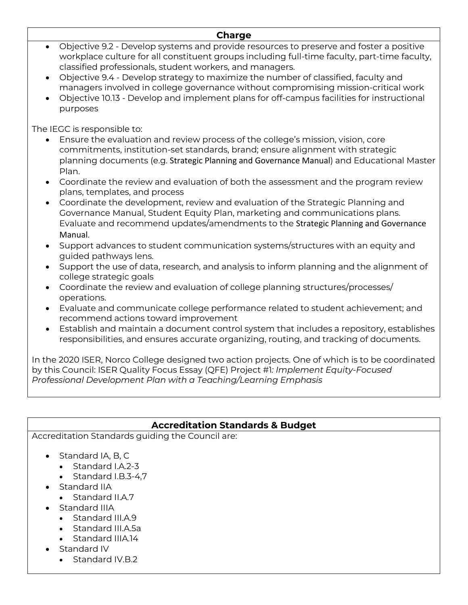#### **Charge**

- Objective 9.2 Develop systems and provide resources to preserve and foster a positive workplace culture for all constituent groups including full-time faculty, part-time faculty, classified professionals, student workers, and managers.
- Objective 9.4 Develop strategy to maximize the number of classified, faculty and managers involved in college governance without compromising mission-critical work
- Objective 10.13 Develop and implement plans for off-campus facilities for instructional purposes

The IEGC is responsible to:

- Ensure the evaluation and review process of the college's mission, vision, core commitments, institution-set standards, brand; ensure alignment with strategic planning documents (e.g. Strategic Planning and Governance Manual) and Educational Master Plan.
- Coordinate the review and evaluation of both the assessment and the program review plans, templates, and process
- Coordinate the development, review and evaluation of the Strategic Planning and Governance Manual, Student Equity Plan, marketing and communications plans. Evaluate and recommend updates/amendments to the Strategic Planning and Governance Manual.
- Support advances to student communication systems/structures with an equity and guided pathways lens.
- Support the use of data, research, and analysis to inform planning and the alignment of college strategic goals
- Coordinate the review and evaluation of college planning structures/processes/ operations.
- Evaluate and communicate college performance related to student achievement; and recommend actions toward improvement
- Establish and maintain a document control system that includes a repository, establishes responsibilities, and ensures accurate organizing, routing, and tracking of documents.

In the 2020 ISER, Norco College designed two action projects. One of which is to be coordinated by this Council: ISER Quality Focus Essay (QFE) Project #1*: Implement Equity-Focused Professional Development Plan with a Teaching/Learning Emphasis*

### **Accreditation Standards & Budget**

Accreditation Standards guiding the Council are:

- Standard IA, B, C
	- Standard I.A.2-3
	- Standard I.B.3-4.7
- Standard IIA
	- Standard II.A.7
- Standard IIIA
	- Standard III.A.9
	- Standard III.A.5a
	- Standard IIIA.14
- Standard IV
	- Standard IV.B.2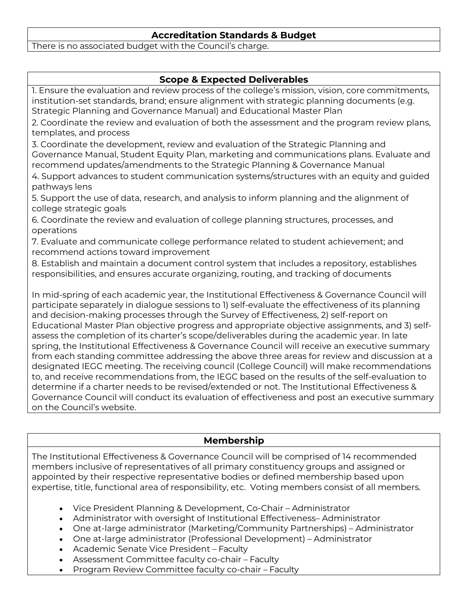#### **Accreditation Standards & Budget**

There is no associated budget with the Council's charge.

### **Scope & Expected Deliverables**

1. Ensure the evaluation and review process of the college's mission, vision, core commitments, institution-set standards, brand; ensure alignment with strategic planning documents (e.g. Strategic Planning and Governance Manual) and Educational Master Plan 2. Coordinate the review and evaluation of both the assessment and the program review plans, templates, and process 3. Coordinate the development, review and evaluation of the Strategic Planning and Governance Manual, Student Equity Plan, marketing and communications plans. Evaluate and recommend updates/amendments to the Strategic Planning & Governance Manual 4. Support advances to student communication systems/structures with an equity and guided pathways lens 5. Support the use of data, research, and analysis to inform planning and the alignment of college strategic goals 6. Coordinate the review and evaluation of college planning structures, processes, and operations 7. Evaluate and communicate college performance related to student achievement; and recommend actions toward improvement 8. Establish and maintain a document control system that includes a repository, establishes responsibilities, and ensures accurate organizing, routing, and tracking of documents In mid-spring of each academic year, the Institutional Effectiveness & Governance Council will participate separately in dialogue sessions to 1) self-evaluate the effectiveness of its planning and decision-making processes through the Survey of Effectiveness, 2) self-report on Educational Master Plan objective progress and appropriate objective assignments, and 3) selfassess the completion of its charter's scope/deliverables during the academic year. In late spring, the Institutional Effectiveness & Governance Council will receive an executive summary from each standing committee addressing the above three areas for review and discussion at a designated IEGC meeting. The receiving council (College Council) will make recommendations to, and receive recommendations from, the IEGC based on the results of the self-evaluation to determine if a charter needs to be revised/extended or not. The Institutional Effectiveness & Governance Council will conduct its evaluation of effectiveness and post an executive summary on the Council's website.

### **Membership**

The Institutional Effectiveness & Governance Council will be comprised of 14 recommended members inclusive of representatives of all primary constituency groups and assigned or appointed by their respective representative bodies or defined membership based upon expertise, title, functional area of responsibility, etc. Voting members consist of all members.

- Vice President Planning & Development, Co-Chair Administrator
- Administrator with oversight of Institutional Effectiveness– Administrator
- One at-large administrator (Marketing/Community Partnerships) Administrator
- One at-large administrator (Professional Development) Administrator
- Academic Senate Vice President Faculty
- Assessment Committee faculty co-chair Faculty
- Program Review Committee faculty co-chair Faculty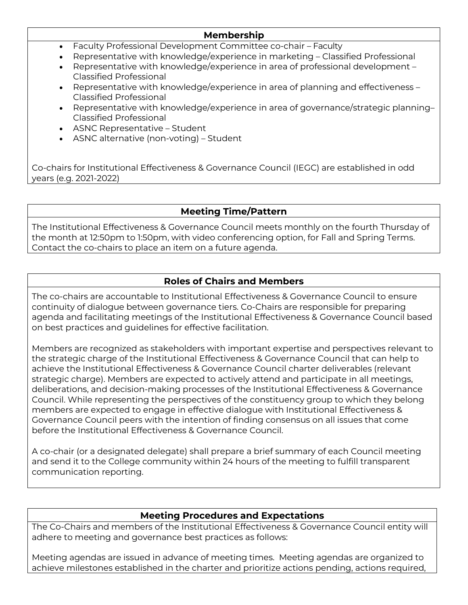#### **Membership**

- Faculty Professional Development Committee co-chair Faculty
- Representative with knowledge/experience in marketing Classified Professional
- Representative with knowledge/experience in area of professional development Classified Professional
- Representative with knowledge/experience in area of planning and effectiveness Classified Professional
- Representative with knowledge/experience in area of governance/strategic planning– Classified Professional
- ASNC Representative Student
- ASNC alternative (non-voting) Student

Co-chairs for Institutional Effectiveness & Governance Council (IEGC) are established in odd years (e.g. 2021-2022)

## **Meeting Time/Pattern**

The Institutional Effectiveness & Governance Council meets monthly on the fourth Thursday of the month at 12:50pm to 1:50pm, with video conferencing option, for Fall and Spring Terms. Contact the co-chairs to place an item on a future agenda.

## **Roles of Chairs and Members**

The co-chairs are accountable to Institutional Effectiveness & Governance Council to ensure continuity of dialogue between governance tiers. Co-Chairs are responsible for preparing agenda and facilitating meetings of the Institutional Effectiveness & Governance Council based on best practices and guidelines for effective facilitation.

Members are recognized as stakeholders with important expertise and perspectives relevant to the strategic charge of the Institutional Effectiveness & Governance Council that can help to achieve the Institutional Effectiveness & Governance Council charter deliverables (relevant strategic charge). Members are expected to actively attend and participate in all meetings, deliberations, and decision-making processes of the Institutional Effectiveness & Governance Council. While representing the perspectives of the constituency group to which they belong members are expected to engage in effective dialogue with Institutional Effectiveness & Governance Council peers with the intention of finding consensus on all issues that come before the Institutional Effectiveness & Governance Council.

A co-chair (or a designated delegate) shall prepare a brief summary of each Council meeting and send it to the College community within 24 hours of the meeting to fulfill transparent communication reporting.

### **Meeting Procedures and Expectations**

The Co-Chairs and members of the Institutional Effectiveness & Governance Council entity will adhere to meeting and governance best practices as follows:

Meeting agendas are issued in advance of meeting times. Meeting agendas are organized to achieve milestones established in the charter and prioritize actions pending, actions required,